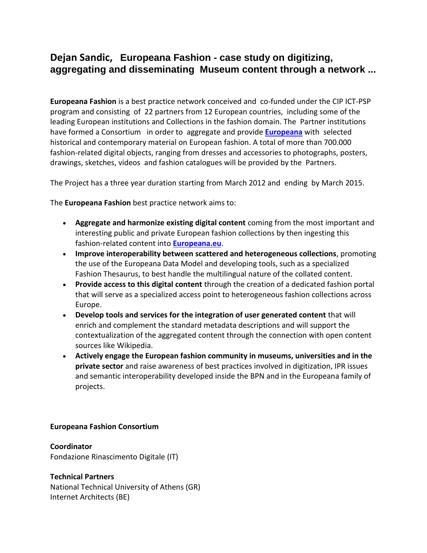## **Dejan Sandic, Europeana Fashion - case study on digitizing, aggregating and disseminating Museum content through a network ...**

**Europeana Fashion** is a best practice network conceived and co-funded under the CIP ICT-PSP program and consisting of 22 partners from 12 European countries, including some of the leading European institutions and Collections in the fashion domain. The Partner institutions have formed a Consortium in order to aggregate and provide **[Europeana](http://www.europeana.eu/portal/)** with selected historical and contemporary material on European fashion. A total of more than 700.000 fashion-related digital objects, ranging from dresses and accessories to photographs, posters, drawings, sketches, videos and fashion catalogues will be provided by the Partners.

The Project has a three year duration starting from March 2012 and ending by March 2015.

The **Europeana Fashion** best practice network aims to:

- **Aggregate and harmonize existing digital content** coming from the most important and interesting public and private European fashion collections by then ingesting this fashion-related content into **[Europeana.eu](http://www.europeana.eu/portal/)**.
- **Improve interoperability between scattered and heterogeneous collections**, promoting the use of the Europeana Data Model and developing tools, such as a specialized Fashion Thesaurus, to best handle the multilingual nature of the collated content.
- **Provide access to this digital content** through the creation of a dedicated fashion portal that will serve as a specialized access point to heterogeneous fashion collections across Europe.
- **Develop tools and services for the integration of user generated content** that will enrich and complement the standard metadata descriptions and will support the contextualization of the aggregated content through the connection with open content sources like Wikipedia.
- **Actively engage the European fashion community in museums, universities and in the private sector** and raise awareness of best practices involved in digitization, IPR issues and semantic interoperability developed inside the BPN and in the Europeana family of projects.

## **Europeana Fashion Consortium**

**Coordinator** Fondazione Rinascimento Digitale (IT)

## **Technical Partners**

National Technical University of Athens (GR) Internet Architects (BE)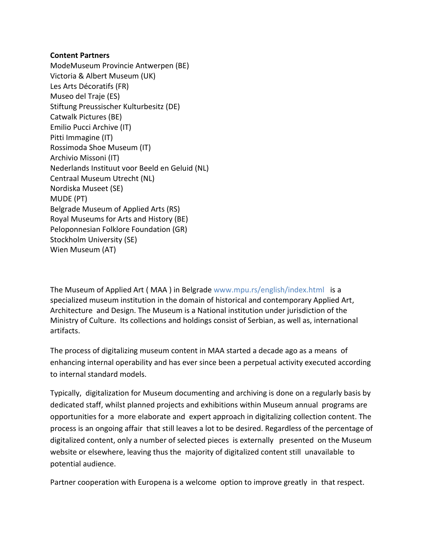## **Content Partners**

ModeMuseum Provincie Antwerpen (BE) Victoria & Albert Museum (UK) Les Arts Décoratifs (FR) Museo del Traje (ES) Stiftung Preussischer Kulturbesitz (DE) Catwalk Pictures (BE) Emilio Pucci Archive (IT) Pitti Immagine (IT) Rossimoda Shoe Museum (IT) Archivio Missoni (IT) Nederlands Instituut voor Beeld en Geluid (NL) Centraal Museum Utrecht (NL) Nordiska Museet (SE) MUDE (PT) Belgrade Museum of Applied Arts (RS) Royal Museums for Arts and History (BE) Peloponnesian Folklore Foundation (GR) Stockholm University (SE) Wien Museum (AT)

The Museum of Applied Art ( MAA ) in Belgrade www.mpu.rs/english/index.html is a specialized museum institution in the domain of historical and contemporary Applied Art, Architecture and Design. The Museum is a National institution under jurisdiction of the Ministry of Culture. Its collections and holdings consist of Serbian, as well as, international artifacts.

The process of digitalizing museum content in MAA started a decade ago as a means of enhancing internal operability and has ever since been a perpetual activity executed according to internal standard models.

Typically, digitalization for Museum documenting and archiving is done on a regularly basis by dedicated staff, whilst planned projects and exhibitions within Museum annual programs are opportunities for a more elaborate and expert approach in digitalizing collection content. The process is an ongoing affair that still leaves a lot to be desired. Regardless of the percentage of digitalized content, only a number of selected pieces is externally presented on the Museum website or elsewhere, leaving thus the majority of digitalized content still unavailable to potential audience.

Partner cooperation with Europena is a welcome option to improve greatly in that respect.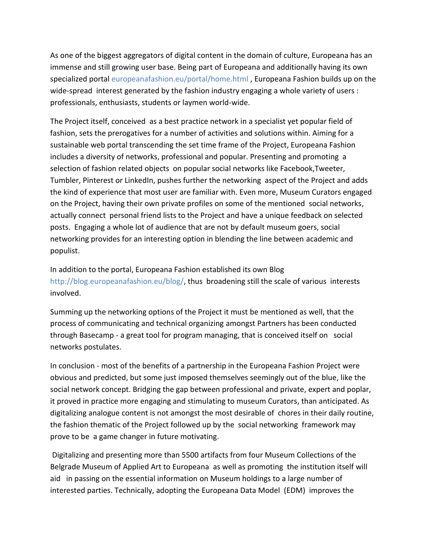As one of the biggest aggregators of digital content in the domain of culture, Europeana has an immense and still growing user base. Being part of Europeana and additionally having its own specialized portal europeanafashion.eu/portal/home.html , Europeana Fashion builds up on the wide-spread interest generated by the fashion industry engaging a whole variety of users : professionals, enthusiasts, students or laymen world-wide.

The Project itself, conceived as a best practice network in a specialist yet popular field of fashion, sets the prerogatives for a number of activities and solutions within. Aiming for a sustainable web portal transcending the set time frame of the Project, Europeana Fashion includes a diversity of networks, professional and popular. Presenting and promoting a selection of fashion related objects on popular social networks like Facebook,Tweeter, Tumbler, Pinterest or LinkedIn, pushes further the networking aspect of the Project and adds the kind of experience that most user are familiar with. Even more, Museum Curators engaged on the Project, having their own private profiles on some of the mentioned social networks, actually connect personal friend lists to the Project and have a unique feedback on selected posts. Engaging a whole lot of audience that are not by default museum goers, social networking provides for an interesting option in blending the line between academic and populist.

In addition to the portal, Europeana Fashion established its own Blog http://blog.europeanafashion.eu/blog/, thus broadening still the scale of various interests involved.

Summing up the networking options of the Project it must be mentioned as well, that the process of communicating and technical organizing amongst Partners has been conducted through Basecamp - a great tool for program managing, that is conceived itself on social networks postulates.

In conclusion - most of the benefits of a partnership in the Europeana Fashion Project were obvious and predicted, but some just imposed themselves seemingly out of the blue, like the social network concept. Bridging the gap between professional and private, expert and poplar, it proved in practice more engaging and stimulating to museum Curators, than anticipated. As digitalizing analogue content is not amongst the most desirable of chores in their daily routine, the fashion thematic of the Project followed up by the social networking framework may prove to be a game changer in future motivating.

Digitalizing and presenting more than 5500 artifacts from four Museum Collections of the Belgrade Museum of Applied Art to Europeana as well as promoting the institution itself will aid in passing on the essential information on Museum holdings to a large number of interested parties. Technically, adopting the Europeana Data Model (EDM) improves the